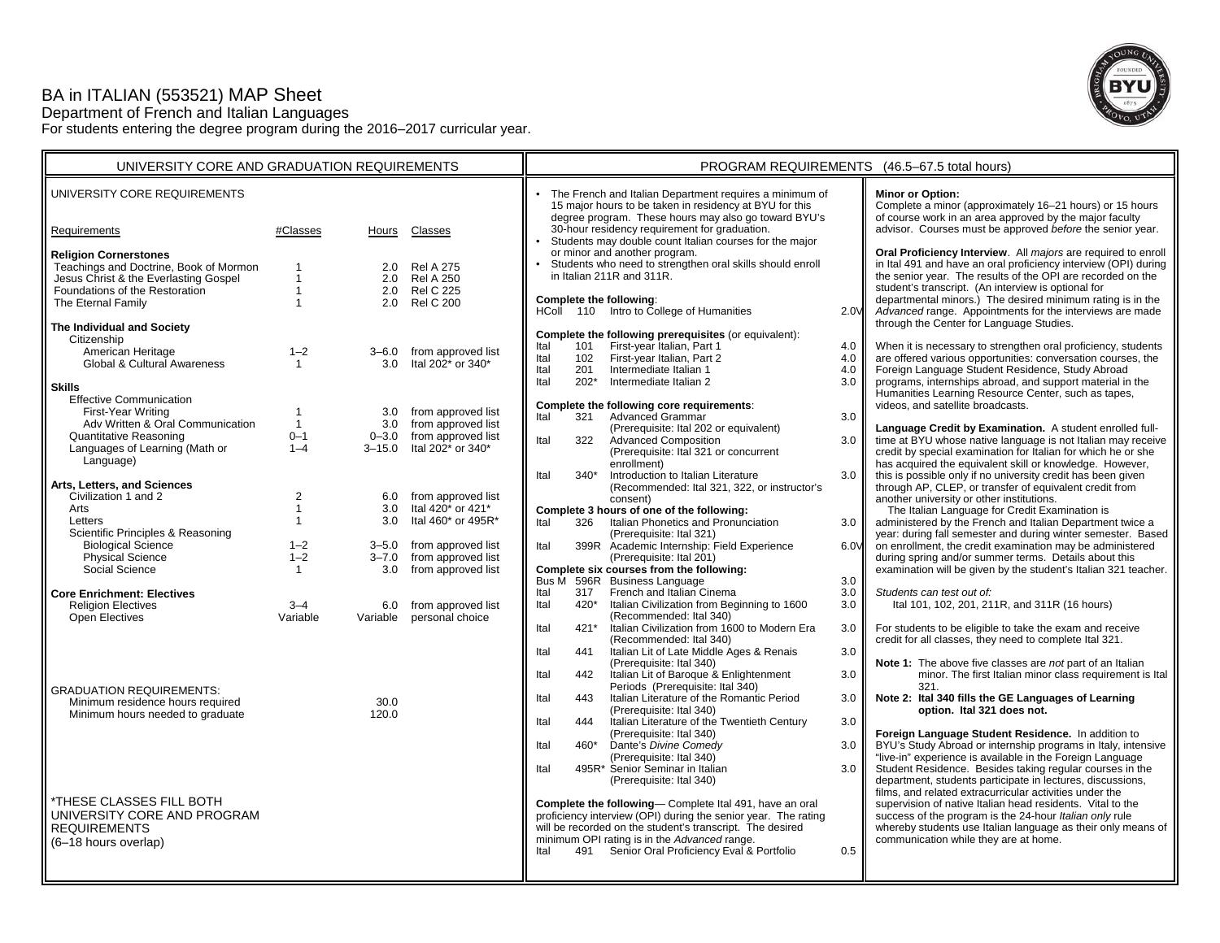# BA in ITALIAN (553521) MAP Sheet

Department of French and Italian Languages

For students entering the degree program during the 2016–2017 curricular year.



| UNIVERSITY CORE AND GRADUATION REQUIREMENTS                                                                                                                             |                                      |                          |                                                                                             | PROGRAM REQUIREMENTS (46.5-67.5 total hours)                                                                                                                                                   |                             |                                                                                                                                                                                                                                                                                        |                          |                                                                                                                                                                                                                                                                                                                                                                                  |
|-------------------------------------------------------------------------------------------------------------------------------------------------------------------------|--------------------------------------|--------------------------|---------------------------------------------------------------------------------------------|------------------------------------------------------------------------------------------------------------------------------------------------------------------------------------------------|-----------------------------|----------------------------------------------------------------------------------------------------------------------------------------------------------------------------------------------------------------------------------------------------------------------------------------|--------------------------|----------------------------------------------------------------------------------------------------------------------------------------------------------------------------------------------------------------------------------------------------------------------------------------------------------------------------------------------------------------------------------|
| UNIVERSITY CORE REQUIREMENTS                                                                                                                                            |                                      |                          |                                                                                             |                                                                                                                                                                                                |                             | • The French and Italian Department requires a minimum of<br>15 major hours to be taken in residency at BYU for this<br>degree program. These hours may also go toward BYU's                                                                                                           |                          | <b>Minor or Option:</b><br>Complete a minor (approximately 16-21 hours) or 15 hours<br>of course work in an area approved by the major faculty                                                                                                                                                                                                                                   |
| Requirements                                                                                                                                                            | #Classes                             | Hours                    | Classes                                                                                     |                                                                                                                                                                                                |                             | 30-hour residency requirement for graduation.<br>Students may double count Italian courses for the major                                                                                                                                                                               |                          | advisor. Courses must be approved before the senior year.                                                                                                                                                                                                                                                                                                                        |
| <b>Religion Cornerstones</b><br>Teachings and Doctrine, Book of Mormon<br>Jesus Christ & the Everlasting Gospel<br>Foundations of the Restoration<br>The Eternal Family | $\mathbf{1}$                         | 2.0<br>2.0<br>2.0<br>2.0 | <b>Rel A 275</b><br><b>Rel A 250</b><br><b>Rel C 225</b><br><b>Rel C 200</b>                | or minor and another program.<br>Students who need to strengthen oral skills should enroll<br>in Italian 211R and 311R.<br>Complete the following:<br>HColl 110 Intro to College of Humanities |                             |                                                                                                                                                                                                                                                                                        | 2.0V                     | Oral Proficiency Interview. All majors are required to enroll<br>in Ital 491 and have an oral proficiency interview (OPI) during<br>the senior year. The results of the OPI are recorded on the<br>student's transcript. (An interview is optional for<br>departmental minors.) The desired minimum rating is in the<br>Advanced range. Appointments for the interviews are made |
| The Individual and Society                                                                                                                                              |                                      |                          |                                                                                             |                                                                                                                                                                                                |                             | Complete the following prerequisites (or equivalent):                                                                                                                                                                                                                                  |                          | through the Center for Language Studies.                                                                                                                                                                                                                                                                                                                                         |
| Citizenship<br>American Heritage<br>Global & Cultural Awareness<br><b>Skills</b><br><b>Effective Communication</b>                                                      | $1 - 2$<br>$\overline{1}$            | 3.0                      | 3-6.0 from approved list<br>Ital 202 <sup>*</sup> or 340 <sup>*</sup>                       | Ital<br>Ital<br>Ital<br>Ital                                                                                                                                                                   | 101<br>102<br>201<br>$202*$ | First-year Italian, Part 1<br>First-year Italian, Part 2<br>Intermediate Italian 1<br>Intermediate Italian 2                                                                                                                                                                           | 4.0<br>4.0<br>4.0<br>3.0 | When it is necessary to strengthen oral proficiency, students<br>are offered various opportunities: conversation courses, the<br>Foreign Language Student Residence, Study Abroad<br>programs, internships abroad, and support material in the<br>Humanities Learning Resource Center, such as tapes,                                                                            |
| First-Year Writing                                                                                                                                                      |                                      | 3.0                      | from approved list                                                                          | Ital                                                                                                                                                                                           | 321                         | Complete the following core requirements:<br><b>Advanced Grammar</b>                                                                                                                                                                                                                   | 3.0                      | videos, and satellite broadcasts.                                                                                                                                                                                                                                                                                                                                                |
| Adv Written & Oral Communication<br>Quantitative Reasoning<br>Languages of Learning (Math or<br>Language)                                                               | $\overline{1}$<br>$0 - 1$<br>$1 - 4$ | 3.0<br>$3 - 15.0$        | from approved list<br>0-3.0 from approved list<br>Ital 202 <sup>*</sup> or 340 <sup>*</sup> | Ital                                                                                                                                                                                           | 322                         | (Prerequisite: Ital 202 or equivalent)<br><b>Advanced Composition</b><br>(Prerequisite: Ital 321 or concurrent<br>enrollment)                                                                                                                                                          | 3.0                      | Language Credit by Examination. A student enrolled full-<br>time at BYU whose native language is not Italian may receive<br>credit by special examination for Italian for which he or she<br>has acquired the equivalent skill or knowledge. However,                                                                                                                            |
| Arts, Letters, and Sciences                                                                                                                                             |                                      |                          |                                                                                             | Ital                                                                                                                                                                                           | $340*$                      | Introduction to Italian Literature<br>(Recommended: Ital 321, 322, or instructor's                                                                                                                                                                                                     | 3.0                      | this is possible only if no university credit has been given<br>through AP, CLEP, or transfer of equivalent credit from                                                                                                                                                                                                                                                          |
| Civilization 1 and 2<br>Arts                                                                                                                                            | 2                                    | 3.0                      | 6.0 from approved list<br>Ital 420* or 421*                                                 |                                                                                                                                                                                                |                             | consent)<br>Complete 3 hours of one of the following:                                                                                                                                                                                                                                  |                          | another university or other institutions.<br>The Italian Language for Credit Examination is                                                                                                                                                                                                                                                                                      |
| Letters<br>Scientific Principles & Reasoning                                                                                                                            | $\mathbf{1}$                         | 3.0                      | Ital 460* or 495R*                                                                          | Ital                                                                                                                                                                                           | 326                         | Italian Phonetics and Pronunciation<br>(Prerequisite: Ital 321)                                                                                                                                                                                                                        | 3.0                      | administered by the French and Italian Department twice a<br>year: during fall semester and during winter semester. Based                                                                                                                                                                                                                                                        |
| <b>Biological Science</b><br>Physical Science<br>Social Science                                                                                                         | $1 - 2$<br>$1 - 2$<br>$\mathbf{1}$   | $3 - 7.0$<br>3.0         | 3-5.0 from approved list<br>from approved list<br>from approved list                        | Ital                                                                                                                                                                                           |                             | 399R Academic Internship: Field Experience<br>(Prerequisite: Ital 201)<br>Complete six courses from the following:                                                                                                                                                                     | 6.0V                     | on enrollment, the credit examination may be administered<br>during spring and/or summer terms. Details about this<br>examination will be given by the student's Italian 321 teacher.                                                                                                                                                                                            |
| <b>Core Enrichment: Electives</b>                                                                                                                                       |                                      |                          |                                                                                             | Ital                                                                                                                                                                                           |                             | Bus M 596R Business Language<br>317 French and Italian Cinema                                                                                                                                                                                                                          | 3.0<br>3.0               | Students can test out of:                                                                                                                                                                                                                                                                                                                                                        |
| <b>Religion Electives</b>                                                                                                                                               | $3 - 4$<br>Variable                  |                          | 6.0 from approved list                                                                      | Ital                                                                                                                                                                                           | 420*                        | Italian Civilization from Beginning to 1600<br>(Recommended: Ital 340)                                                                                                                                                                                                                 | 3.0                      | Ital 101, 102, 201, 211R, and 311R (16 hours)                                                                                                                                                                                                                                                                                                                                    |
| Open Electives                                                                                                                                                          |                                      |                          | Variable personal choice                                                                    | Ital<br>Ital                                                                                                                                                                                   | 421*<br>441                 | Italian Civilization from 1600 to Modern Era<br>(Recommended: Ital 340)<br>Italian Lit of Late Middle Ages & Renais                                                                                                                                                                    | 3.0<br>3.0               | For students to be eligible to take the exam and receive<br>credit for all classes, they need to complete Ital 321.                                                                                                                                                                                                                                                              |
|                                                                                                                                                                         |                                      |                          |                                                                                             | Ital                                                                                                                                                                                           | 442                         | (Prerequisite: Ital 340)<br>Italian Lit of Baroque & Enlightenment                                                                                                                                                                                                                     | 3.0                      | Note 1: The above five classes are not part of an Italian<br>minor. The first Italian minor class requirement is Ital                                                                                                                                                                                                                                                            |
| <b>GRADUATION REQUIREMENTS:</b><br>Minimum residence hours required<br>Minimum hours needed to graduate                                                                 |                                      | 30.0<br>120.0            |                                                                                             | Ital                                                                                                                                                                                           | 443                         | Periods (Prerequisite: Ital 340)<br>Italian Literature of the Romantic Period<br>(Prerequisite: Ital 340)                                                                                                                                                                              | 3.0                      | 321.<br>Note 2: Ital 340 fills the GE Languages of Learning<br>option. Ital 321 does not.                                                                                                                                                                                                                                                                                        |
|                                                                                                                                                                         |                                      |                          |                                                                                             | Ital                                                                                                                                                                                           | 444                         | Italian Literature of the Twentieth Century<br>(Prerequisite: Ital 340)                                                                                                                                                                                                                | 3.0                      | Foreign Language Student Residence. In addition to                                                                                                                                                                                                                                                                                                                               |
|                                                                                                                                                                         |                                      |                          |                                                                                             | Ital                                                                                                                                                                                           | 460*                        | Dante's Divine Comedy<br>(Prerequisite: Ital 340)                                                                                                                                                                                                                                      | 3.0                      | BYU's Study Abroad or internship programs in Italy, intensive<br>"live-in" experience is available in the Foreign Language                                                                                                                                                                                                                                                       |
|                                                                                                                                                                         |                                      |                          |                                                                                             | Ital                                                                                                                                                                                           |                             | 495R* Senior Seminar in Italian<br>(Prerequisite: Ital 340)                                                                                                                                                                                                                            | 3.0                      | Student Residence. Besides taking regular courses in the<br>department, students participate in lectures, discussions,                                                                                                                                                                                                                                                           |
| THESE CLASSES FILL BOTH<br>UNIVERSITY CORE AND PROGRAM<br><b>REQUIREMENTS</b><br>(6-18 hours overlap)                                                                   |                                      |                          |                                                                                             | Ital                                                                                                                                                                                           |                             | Complete the following- Complete Ital 491, have an oral<br>proficiency interview (OPI) during the senior year. The rating<br>will be recorded on the student's transcript. The desired<br>minimum OPI rating is in the Advanced range.<br>491 Senior Oral Proficiency Eval & Portfolio | 0.5                      | films, and related extracurricular activities under the<br>supervision of native Italian head residents. Vital to the<br>success of the program is the 24-hour Italian only rule<br>whereby students use Italian language as their only means of<br>communication while they are at home.                                                                                        |